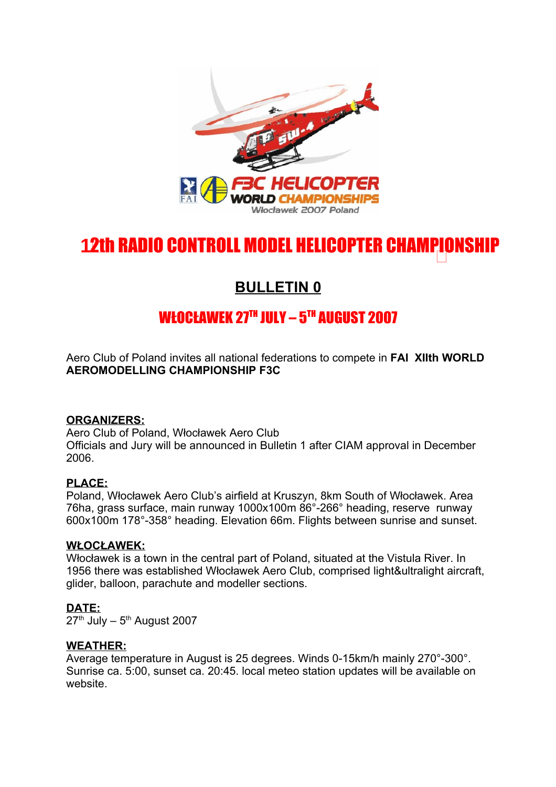

# 12th RADIO CONTROLL MODEL HELICOPTER CHAMPIONSHIP <sup>1</sup> **1**

# **BULLETIN 0**

# WŁOCŁAWEK 27™ JULY – 5™ AUGUST 2007

Aero Club of Poland invites all national federations to compete in **FAI XIIth WORLD AEROMODELLING CHAMPIONSHIP F3C**

#### **ORGANIZERS:**

Aero Club of Poland, Włocławek Aero Club Officials and Jury will be announced in Bulletin 1 after CIAM approval in December 2006.

#### **PLACE:**

Poland, Włocławek Aero Club's airfield at Kruszyn, 8km South of Włocławek. Area 76ha, grass surface, main runway 1000x100m 86°-266° heading, reserve runway 600x100m 178°-358° heading. Elevation 66m. Flights between sunrise and sunset.

#### **WŁOCŁAWEK:**

Włocławek is a town in the central part of Poland, situated at the Vistula River. In 1956 there was established Włocławek Aero Club, comprised light&ultralight aircraft, glider, balloon, parachute and modeller sections.

#### **DATE:**

27<sup>th</sup> July – 5<sup>th</sup> August 2007

#### **WEATHER:**

Average temperature in August is 25 degrees. Winds 0-15km/h mainly 270°-300°. Sunrise ca. 5:00, sunset ca. 20:45. local meteo station updates will be available on website.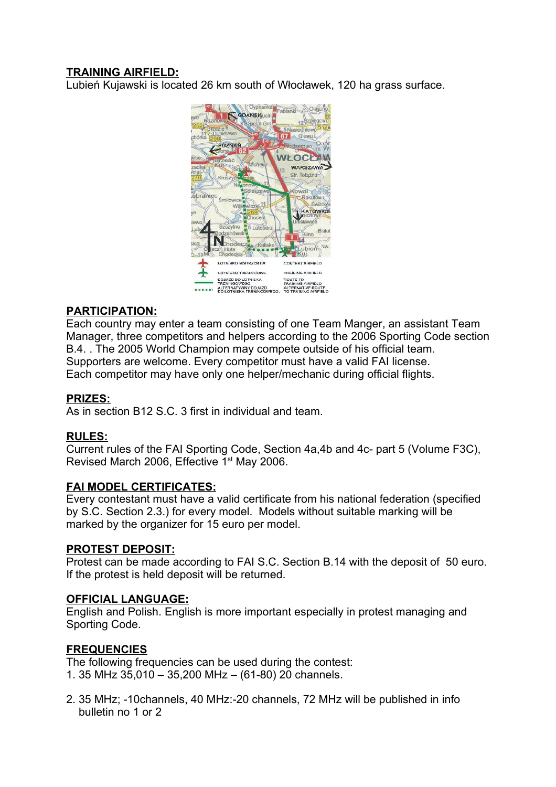# **TRAINING AIRFIELD:**

Lubień Kujawski is located 26 km south of Włocławek, 120 ha grass surface.



# **PARTICIPATION:**

Each country may enter a team consisting of one Team Manger, an assistant Team Manager, three competitors and helpers according to the 2006 Sporting Code section B.4. . The 2005 World Champion may compete outside of his official team. Supporters are welcome. Every competitor must have a valid FAI license. Each competitor may have only one helper/mechanic during official flights.

#### **PRIZES:**

As in section B12 S.C. 3 first in individual and team.

#### **RULES:**

Current rules of the FAI Sporting Code, Section 4a,4b and 4c- part 5 (Volume F3C), Revised March 2006, Effective 1<sup>st</sup> May 2006.

#### **FAI MODEL CERTIFICATES:**

Every contestant must have a valid certificate from his national federation (specified by S.C. Section 2.3.) for every model. Models without suitable marking will be marked by the organizer for 15 euro per model.

#### **PROTEST DEPOSIT:**

Protest can be made according to FAI S.C. Section B.14 with the deposit of 50 euro. If the protest is held deposit will be returned.

#### **OFFICIAL LANGUAGE:**

English and Polish. English is more important especially in protest managing and Sporting Code.

#### **FREQUENCIES**

The following frequencies can be used during the contest:

- 1. 35 MHz 35,010 35,200 MHz (61-80) 20 channels.
- 2. 35 MHz; -10channels, 40 MHz:-20 channels, 72 MHz will be published in info bulletin no 1 or 2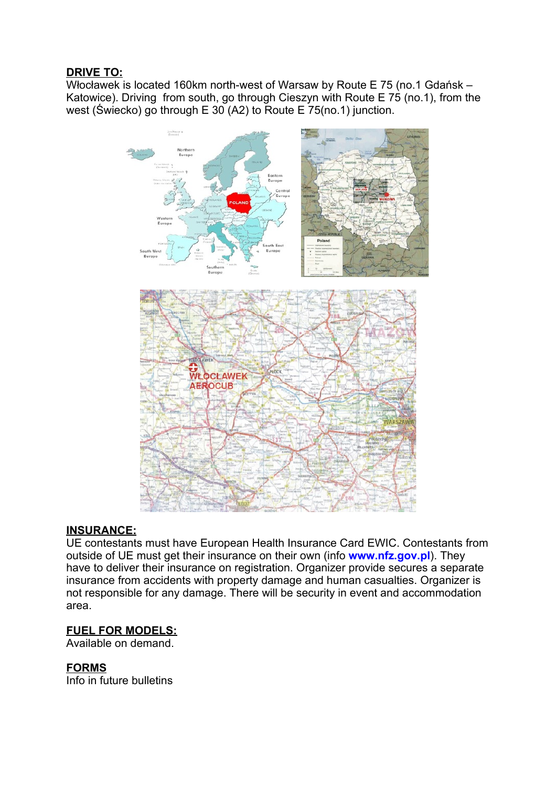## **DRIVE TO:**

Włocławek is located 160km north-west of Warsaw by Route E 75 (no.1 Gdańsk – Katowice). Driving from south, go through Cieszyn with Route E 75 (no.1), from the west (Świecko) go through E 30 (A2) to Route E 75(no.1) junction.



#### **INSURANCE:**

UE contestants must have European Health Insurance Card EWIC. Contestants from outside of UE must get their insurance on their own (info **www.nfz.gov.pl**). They have to deliver their insurance on registration. Organizer provide secures a separate insurance from accidents with property damage and human casualties. Organizer is not responsible for any damage. There will be security in event and accommodation area.

#### **FUEL FOR MODELS:**

Available on demand.

#### **FORMS**

Info in future bulletins